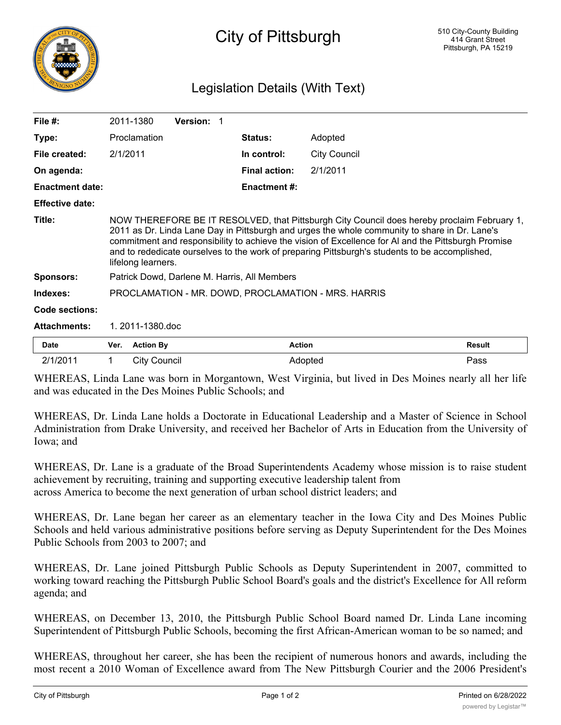

## City of Pittsburgh

## Legislation Details (With Text)

| File $#$ :             |                                                                                                                                                                                                                                                                                                                                                                                                                             | 2011-1380           | <b>Version: 1</b> |  |                      |                     |               |
|------------------------|-----------------------------------------------------------------------------------------------------------------------------------------------------------------------------------------------------------------------------------------------------------------------------------------------------------------------------------------------------------------------------------------------------------------------------|---------------------|-------------------|--|----------------------|---------------------|---------------|
| Type:                  |                                                                                                                                                                                                                                                                                                                                                                                                                             | Proclamation        |                   |  | <b>Status:</b>       | Adopted             |               |
| File created:          | 2/1/2011                                                                                                                                                                                                                                                                                                                                                                                                                    |                     |                   |  | In control:          | <b>City Council</b> |               |
| On agenda:             |                                                                                                                                                                                                                                                                                                                                                                                                                             |                     |                   |  | <b>Final action:</b> | 2/1/2011            |               |
| <b>Enactment date:</b> |                                                                                                                                                                                                                                                                                                                                                                                                                             |                     |                   |  | <b>Enactment #:</b>  |                     |               |
| <b>Effective date:</b> |                                                                                                                                                                                                                                                                                                                                                                                                                             |                     |                   |  |                      |                     |               |
| Title:                 | NOW THEREFORE BE IT RESOLVED, that Pittsburgh City Council does hereby proclaim February 1,<br>2011 as Dr. Linda Lane Day in Pittsburgh and urges the whole community to share in Dr. Lane's<br>commitment and responsibility to achieve the vision of Excellence for AI and the Pittsburgh Promise<br>and to rededicate ourselves to the work of preparing Pittsburgh's students to be accomplished,<br>lifelong learners. |                     |                   |  |                      |                     |               |
| <b>Sponsors:</b>       | Patrick Dowd, Darlene M. Harris, All Members                                                                                                                                                                                                                                                                                                                                                                                |                     |                   |  |                      |                     |               |
| Indexes:               | PROCLAMATION - MR. DOWD, PROCLAMATION - MRS. HARRIS                                                                                                                                                                                                                                                                                                                                                                         |                     |                   |  |                      |                     |               |
| Code sections:         |                                                                                                                                                                                                                                                                                                                                                                                                                             |                     |                   |  |                      |                     |               |
| <b>Attachments:</b>    | 1.2011-1380.doc                                                                                                                                                                                                                                                                                                                                                                                                             |                     |                   |  |                      |                     |               |
| Date                   | Ver.                                                                                                                                                                                                                                                                                                                                                                                                                        | <b>Action By</b>    |                   |  | <b>Action</b>        |                     | <b>Result</b> |
| 2/1/2011               | 1                                                                                                                                                                                                                                                                                                                                                                                                                           | <b>City Council</b> |                   |  | Adopted              |                     | Pass          |

WHEREAS, Linda Lane was born in Morgantown, West Virginia, but lived in Des Moines nearly all her life and was educated in the Des Moines Public Schools; and

WHEREAS, Dr. Linda Lane holds a Doctorate in Educational Leadership and a Master of Science in School Administration from Drake University, and received her Bachelor of Arts in Education from the University of Iowa; and

WHEREAS, Dr. Lane is a graduate of the Broad Superintendents Academy whose mission is to raise student achievement by recruiting, training and supporting executive leadership talent from across America to become the next generation of urban school district leaders; and

WHEREAS, Dr. Lane began her career as an elementary teacher in the Iowa City and Des Moines Public Schools and held various administrative positions before serving as Deputy Superintendent for the Des Moines Public Schools from 2003 to 2007; and

WHEREAS, Dr. Lane joined Pittsburgh Public Schools as Deputy Superintendent in 2007, committed to working toward reaching the Pittsburgh Public School Board's goals and the district's Excellence for All reform agenda; and

WHEREAS, on December 13, 2010, the Pittsburgh Public School Board named Dr. Linda Lane incoming Superintendent of Pittsburgh Public Schools, becoming the first African-American woman to be so named; and

WHEREAS, throughout her career, she has been the recipient of numerous honors and awards, including the most recent a 2010 Woman of Excellence award from The New Pittsburgh Courier and the 2006 President's